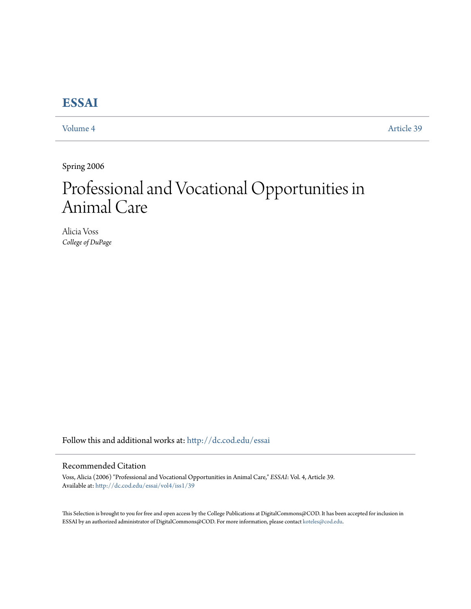## **[ESSAI](http://dc.cod.edu/essai?utm_source=dc.cod.edu%2Fessai%2Fvol4%2Fiss1%2F39&utm_medium=PDF&utm_campaign=PDFCoverPages)**

[Volume 4](http://dc.cod.edu/essai/vol4?utm_source=dc.cod.edu%2Fessai%2Fvol4%2Fiss1%2F39&utm_medium=PDF&utm_campaign=PDFCoverPages) [Article 39](http://dc.cod.edu/essai/vol4/iss1/39?utm_source=dc.cod.edu%2Fessai%2Fvol4%2Fiss1%2F39&utm_medium=PDF&utm_campaign=PDFCoverPages)

Spring 2006

# Professional and Vocational Opportunities in Animal Care

Alicia Voss *College of DuPage*

Follow this and additional works at: [http://dc.cod.edu/essai](http://dc.cod.edu/essai?utm_source=dc.cod.edu%2Fessai%2Fvol4%2Fiss1%2F39&utm_medium=PDF&utm_campaign=PDFCoverPages)

#### Recommended Citation

Voss, Alicia (2006) "Professional and Vocational Opportunities in Animal Care," *ESSAI*: Vol. 4, Article 39. Available at: [http://dc.cod.edu/essai/vol4/iss1/39](http://dc.cod.edu/essai/vol4/iss1/39?utm_source=dc.cod.edu%2Fessai%2Fvol4%2Fiss1%2F39&utm_medium=PDF&utm_campaign=PDFCoverPages)

This Selection is brought to you for free and open access by the College Publications at DigitalCommons@COD. It has been accepted for inclusion in ESSAI by an authorized administrator of DigitalCommons@COD. For more information, please contact [koteles@cod.edu](mailto:koteles@cod.edu).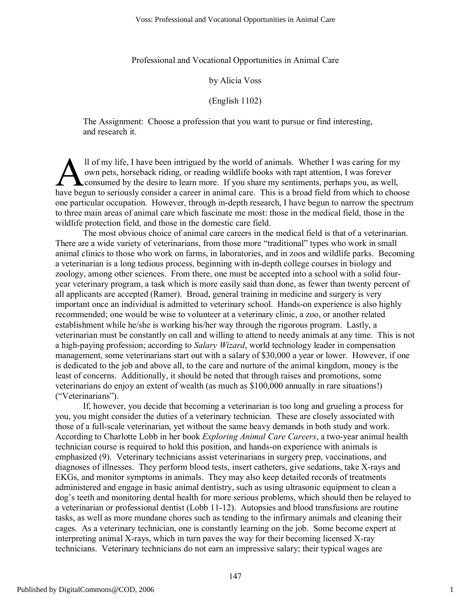Professional and Vocational Opportunities in Animal Care

#### by Alicia Voss

#### (English 1102)

The Assignment: Choose a profession that you want to pursue or find interesting, and research it.

ll of my life, I have been intrigued by the world of animals. Whether I was caring for my own pets, horseback riding, or reading wildlife books with rapt attention, I was forever **L** consumed by the desire to learn more. If you share my sentiments, perhaps you, as well, Il of my life, I have been intrigued by the world of animals. Whether I was caring for my<br>
own pets, horseback riding, or reading wildlife books with rapt attention, I was forever<br>
have begun to seriously consider a career one particular occupation. However, through in-depth research, I have begun to narrow the spectrum to three main areas of animal care which fascinate me most: those in the medical field, those in the wildlife protection field, and those in the domestic care field.

The most obvious choice of animal care careers in the medical field is that of a veterinarian. There are a wide variety of veterinarians, from those more "traditional" types who work in small animal clinics to those who work on farms, in laboratories, and in zoos and wildlife parks. Becoming a veterinarian is a long tedious process, beginning with in-depth college courses in biology and zoology, among other sciences. From there, one must be accepted into a school with a solid fouryear veterinary program, a task which is more easily said than done, as fewer than twenty percent of all applicants are accepted (Ramer). Broad, general training in medicine and surgery is very important once an individual is admitted to veterinary school. Hands-on experience is also highly recommended; one would be wise to volunteer at a veterinary clinic, a zoo, or another related establishment while he/she is working his/her way through the rigorous program. Lastly, a veterinarian must be constantly on call and willing to attend to needy animals at any time. This is not a high-paying profession; according to *Salary Wizard*, world technology leader in compensation management, some veterinarians start out with a salary of \$30,000 a year or lower. However, if one is dedicated to the job and above all, to the care and nurture of the animal kingdom, money is the least of concerns. Additionally, it should be noted that through raises and promotions, some veterinarians do enjoy an extent of wealth (as much as \$100,000 annually in rare situations!) ("Veterinarians").

If, however, you decide that becoming a veterinarian is too long and grueling a process for you, you might consider the duties of a veterinary technician. These are closely associated with those of a full-scale veterinarian, yet without the same heavy demands in both study and work. According to Charlotte Lobb in her book *Exploring Animal Care Careers*, a two-year animal health technician course is required to hold this position, and hands-on experience with animals is emphasized (9). Veterinary technicians assist veterinarians in surgery prep, vaccinations, and diagnoses of illnesses. They perform blood tests, insert catheters, give sedations, take X-rays and EKGs, and monitor symptoms in animals. They may also keep detailed records of treatments administered and engage in basic animal dentistry, such as using ultrasonic equipment to clean a dog's teeth and monitoring dental health for more serious problems, which should then be relayed to a veterinarian or professional dentist (Lobb 11-12). Autopsies and blood transfusions are routine tasks, as well as more mundane chores such as tending to the infirmary animals and cleaning their cages. As a veterinary technician, one is constantly learning on the job. Some become expert at interpreting animal X-rays, which in turn paves the way for their becoming licensed X-ray technicians. Veterinary technicians do not earn an impressive salary; their typical wages are

1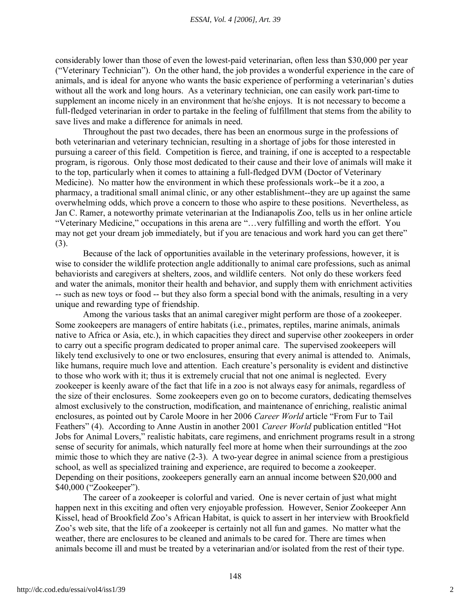considerably lower than those of even the lowest-paid veterinarian, often less than \$30,000 per year ("Veterinary Technician"). On the other hand, the job provides a wonderful experience in the care of animals, and is ideal for anyone who wants the basic experience of performing a veterinarian's duties without all the work and long hours. As a veterinary technician, one can easily work part-time to supplement an income nicely in an environment that he/she enjoys. It is not necessary to become a full-fledged veterinarian in order to partake in the feeling of fulfillment that stems from the ability to save lives and make a difference for animals in need.

Throughout the past two decades, there has been an enormous surge in the professions of both veterinarian and veterinary technician, resulting in a shortage of jobs for those interested in pursuing a career of this field. Competition is fierce, and training, if one is accepted to a respectable program, is rigorous. Only those most dedicated to their cause and their love of animals will make it to the top, particularly when it comes to attaining a full-fledged DVM (Doctor of Veterinary Medicine). No matter how the environment in which these professionals work--be it a zoo, a pharmacy, a traditional small animal clinic, or any other establishment--they are up against the same overwhelming odds, which prove a concern to those who aspire to these positions. Nevertheless, as Jan C. Ramer, a noteworthy primate veterinarian at the Indianapolis Zoo, tells us in her online article "Veterinary Medicine," occupations in this arena are "…very fulfilling and worth the effort. You may not get your dream job immediately, but if you are tenacious and work hard you can get there" (3).

Because of the lack of opportunities available in the veterinary professions, however, it is wise to consider the wildlife protection angle additionally to animal care professions, such as animal behaviorists and caregivers at shelters, zoos, and wildlife centers. Not only do these workers feed and water the animals, monitor their health and behavior, and supply them with enrichment activities -- such as new toys or food -- but they also form a special bond with the animals, resulting in a very unique and rewarding type of friendship.

Among the various tasks that an animal caregiver might perform are those of a zookeeper. Some zookeepers are managers of entire habitats (i.e., primates, reptiles, marine animals, animals native to Africa or Asia, etc.), in which capacities they direct and supervise other zookeepers in order to carry out a specific program dedicated to proper animal care. The supervised zookeepers will likely tend exclusively to one or two enclosures, ensuring that every animal is attended to. Animals, like humans, require much love and attention. Each creature's personality is evident and distinctive to those who work with it; thus it is extremely crucial that not one animal is neglected. Every zookeeper is keenly aware of the fact that life in a zoo is not always easy for animals, regardless of the size of their enclosures. Some zookeepers even go on to become curators, dedicating themselves almost exclusively to the construction, modification, and maintenance of enriching, realistic animal enclosures, as pointed out by Carole Moore in her 2006 *Career World* article "From Fur to Tail Feathers" (4). According to Anne Austin in another 2001 *Career World* publication entitled "Hot Jobs for Animal Lovers," realistic habitats, care regimens, and enrichment programs result in a strong sense of security for animals, which naturally feel more at home when their surroundings at the zoo mimic those to which they are native (2-3). A two-year degree in animal science from a prestigious school, as well as specialized training and experience, are required to become a zookeeper. Depending on their positions, zookeepers generally earn an annual income between \$20,000 and \$40,000 ("Zookeeper").

The career of a zookeeper is colorful and varied. One is never certain of just what might happen next in this exciting and often very enjoyable profession. However, Senior Zookeeper Ann Kissel, head of Brookfield Zoo's African Habitat, is quick to assert in her interview with Brookfield Zoo's web site, that the life of a zookeeper is certainly not all fun and games. No matter what the weather, there are enclosures to be cleaned and animals to be cared for. There are times when animals become ill and must be treated by a veterinarian and/or isolated from the rest of their type.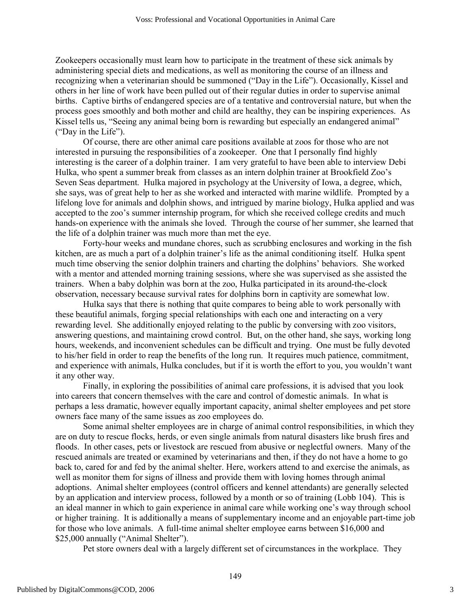Zookeepers occasionally must learn how to participate in the treatment of these sick animals by administering special diets and medications, as well as monitoring the course of an illness and recognizing when a veterinarian should be summoned ("Day in the Life"). Occasionally, Kissel and others in her line of work have been pulled out of their regular duties in order to supervise animal births. Captive births of endangered species are of a tentative and controversial nature, but when the process goes smoothly and both mother and child are healthy, they can be inspiring experiences. As Kissel tells us, "Seeing any animal being born is rewarding but especially an endangered animal" ("Day in the Life").

Of course, there are other animal care positions available at zoos for those who are not interested in pursuing the responsibilities of a zookeeper. One that I personally find highly interesting is the career of a dolphin trainer. I am very grateful to have been able to interview Debi Hulka, who spent a summer break from classes as an intern dolphin trainer at Brookfield Zoo's Seven Seas department. Hulka majored in psychology at the University of Iowa, a degree, which, she says, was of great help to her as she worked and interacted with marine wildlife. Prompted by a lifelong love for animals and dolphin shows, and intrigued by marine biology, Hulka applied and was accepted to the zoo's summer internship program, for which she received college credits and much hands-on experience with the animals she loved. Through the course of her summer, she learned that the life of a dolphin trainer was much more than met the eye.

Forty-hour weeks and mundane chores, such as scrubbing enclosures and working in the fish kitchen, are as much a part of a dolphin trainer's life as the animal conditioning itself. Hulka spent much time observing the senior dolphin trainers and charting the dolphins' behaviors. She worked with a mentor and attended morning training sessions, where she was supervised as she assisted the trainers. When a baby dolphin was born at the zoo, Hulka participated in its around-the-clock observation, necessary because survival rates for dolphins born in captivity are somewhat low.

Hulka says that there is nothing that quite compares to being able to work personally with these beautiful animals, forging special relationships with each one and interacting on a very rewarding level. She additionally enjoyed relating to the public by conversing with zoo visitors, answering questions, and maintaining crowd control. But, on the other hand, she says, working long hours, weekends, and inconvenient schedules can be difficult and trying. One must be fully devoted to his/her field in order to reap the benefits of the long run. It requires much patience, commitment, and experience with animals, Hulka concludes, but if it is worth the effort to you, you wouldn't want it any other way.

Finally, in exploring the possibilities of animal care professions, it is advised that you look into careers that concern themselves with the care and control of domestic animals. In what is perhaps a less dramatic, however equally important capacity, animal shelter employees and pet store owners face many of the same issues as zoo employees do.

Some animal shelter employees are in charge of animal control responsibilities, in which they are on duty to rescue flocks, herds, or even single animals from natural disasters like brush fires and floods. In other cases, pets or livestock are rescued from abusive or neglectful owners. Many of the rescued animals are treated or examined by veterinarians and then, if they do not have a home to go back to, cared for and fed by the animal shelter. Here, workers attend to and exercise the animals, as well as monitor them for signs of illness and provide them with loving homes through animal adoptions. Animal shelter employees (control officers and kennel attendants) are generally selected by an application and interview process, followed by a month or so of training (Lobb 104). This is an ideal manner in which to gain experience in animal care while working one's way through school or higher training. It is additionally a means of supplementary income and an enjoyable part-time job for those who love animals. A full-time animal shelter employee earns between \$16,000 and \$25,000 annually ("Animal Shelter").

Pet store owners deal with a largely different set of circumstances in the workplace. They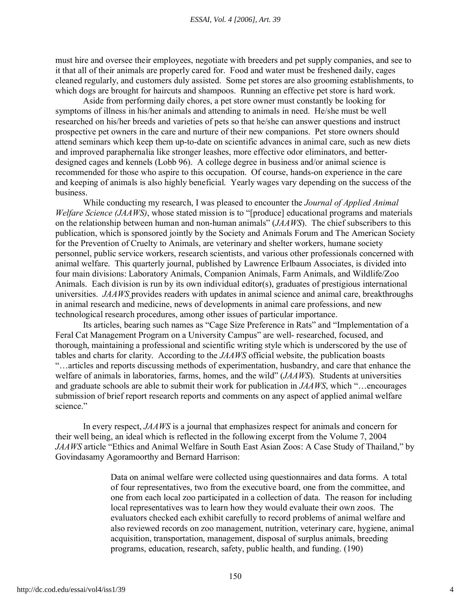#### *ESSAI, Vol. 4 [2006], Art. 39*

must hire and oversee their employees, negotiate with breeders and pet supply companies, and see to it that all of their animals are properly cared for. Food and water must be freshened daily, cages cleaned regularly, and customers duly assisted. Some pet stores are also grooming establishments, to which dogs are brought for haircuts and shampoos. Running an effective pet store is hard work.

Aside from performing daily chores, a pet store owner must constantly be looking for symptoms of illness in his/her animals and attending to animals in need. He/she must be well researched on his/her breeds and varieties of pets so that he/she can answer questions and instruct prospective pet owners in the care and nurture of their new companions. Pet store owners should attend seminars which keep them up-to-date on scientific advances in animal care, such as new diets and improved paraphernalia like stronger leashes, more effective odor eliminators, and betterdesigned cages and kennels (Lobb 96). A college degree in business and/or animal science is recommended for those who aspire to this occupation. Of course, hands-on experience in the care and keeping of animals is also highly beneficial. Yearly wages vary depending on the success of the business.

While conducting my research, I was pleased to encounter the *Journal of Applied Animal Welfare Science (JAAWS)*, whose stated mission is to "[produce] educational programs and materials on the relationship between human and non-human animals" (*JAAWS*). The chief subscribers to this publication, which is sponsored jointly by the Society and Animals Forum and The American Society for the Prevention of Cruelty to Animals, are veterinary and shelter workers, humane society personnel, public service workers, research scientists, and various other professionals concerned with animal welfare. This quarterly journal, published by Lawrence Erlbaum Associates, is divided into four main divisions: Laboratory Animals, Companion Animals, Farm Animals, and Wildlife/Zoo Animals. Each division is run by its own individual editor(s), graduates of prestigious international universities. *JAAWS* provides readers with updates in animal science and animal care, breakthroughs in animal research and medicine, news of developments in animal care professions, and new technological research procedures, among other issues of particular importance.

Its articles, bearing such names as "Cage Size Preference in Rats" and "Implementation of a Feral Cat Management Program on a University Campus" are well- researched, focused, and thorough, maintaining a professional and scientific writing style which is underscored by the use of tables and charts for clarity. According to the *JAAWS* official website, the publication boasts "…articles and reports discussing methods of experimentation, husbandry, and care that enhance the welfare of animals in laboratories, farms, homes, and the wild" (*JAAWS*). Students at universities and graduate schools are able to submit their work for publication in *JAAWS*, which "…encourages submission of brief report research reports and comments on any aspect of applied animal welfare science."

In every respect, *JAAWS* is a journal that emphasizes respect for animals and concern for their well being, an ideal which is reflected in the following excerpt from the Volume 7, 2004 *JAAWS* article "Ethics and Animal Welfare in South East Asian Zoos: A Case Study of Thailand," by Govindasamy Agoramoorthy and Bernard Harrison:

> Data on animal welfare were collected using questionnaires and data forms. A total of four representatives, two from the executive board, one from the committee, and one from each local zoo participated in a collection of data. The reason for including local representatives was to learn how they would evaluate their own zoos. The evaluators checked each exhibit carefully to record problems of animal welfare and also reviewed records on zoo management, nutrition, veterinary care, hygiene, animal acquisition, transportation, management, disposal of surplus animals, breeding programs, education, research, safety, public health, and funding. (190)